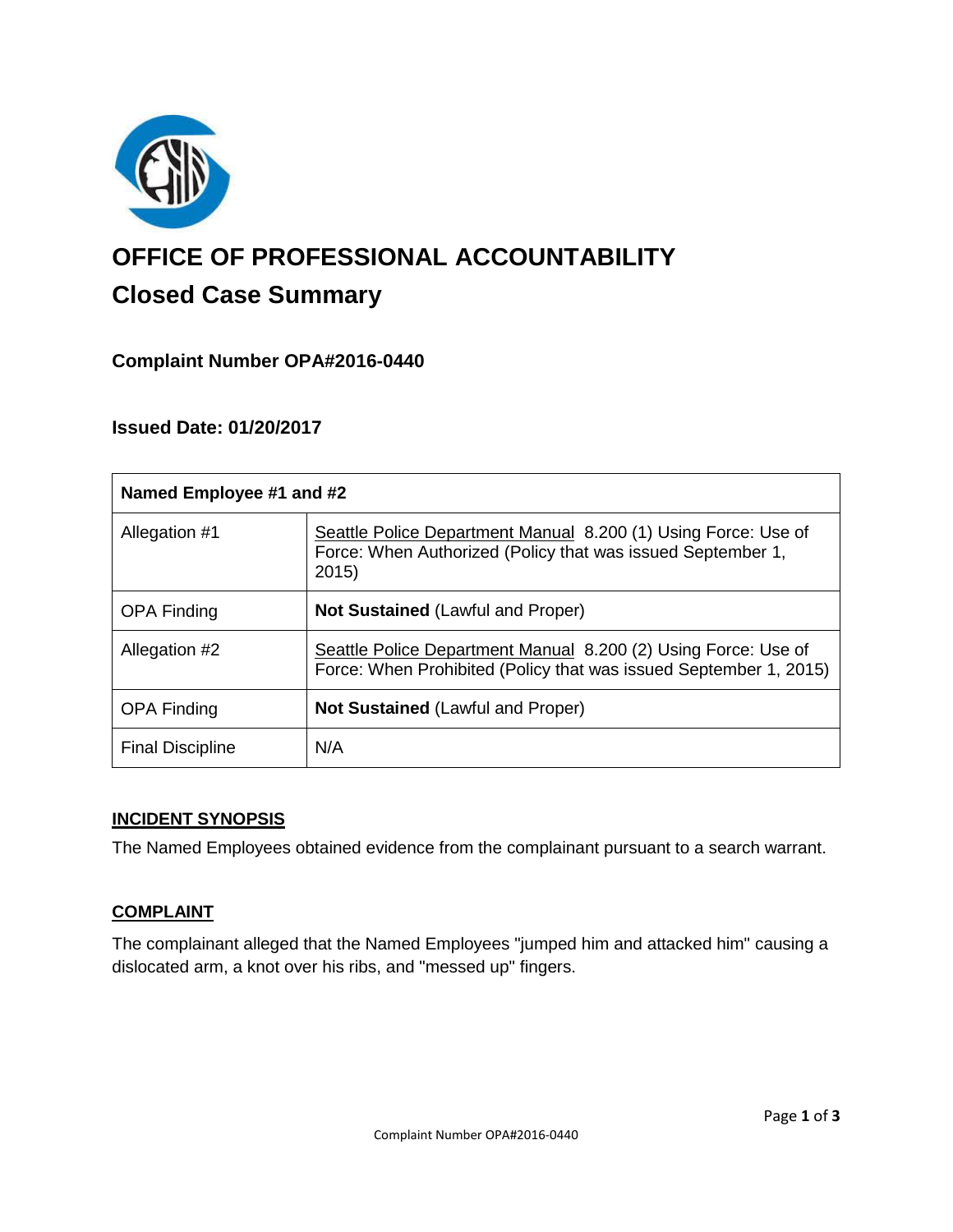

# **OFFICE OF PROFESSIONAL ACCOUNTABILITY Closed Case Summary**

## **Complaint Number OPA#2016-0440**

## **Issued Date: 01/20/2017**

| Named Employee #1 and #2 |                                                                                                                                       |
|--------------------------|---------------------------------------------------------------------------------------------------------------------------------------|
| Allegation #1            | Seattle Police Department Manual 8.200 (1) Using Force: Use of<br>Force: When Authorized (Policy that was issued September 1,<br>2015 |
| <b>OPA Finding</b>       | <b>Not Sustained (Lawful and Proper)</b>                                                                                              |
| Allegation #2            | Seattle Police Department Manual 8.200 (2) Using Force: Use of<br>Force: When Prohibited (Policy that was issued September 1, 2015)   |
| <b>OPA Finding</b>       | <b>Not Sustained (Lawful and Proper)</b>                                                                                              |
| <b>Final Discipline</b>  | N/A                                                                                                                                   |

#### **INCIDENT SYNOPSIS**

The Named Employees obtained evidence from the complainant pursuant to a search warrant.

#### **COMPLAINT**

The complainant alleged that the Named Employees "jumped him and attacked him" causing a dislocated arm, a knot over his ribs, and "messed up" fingers.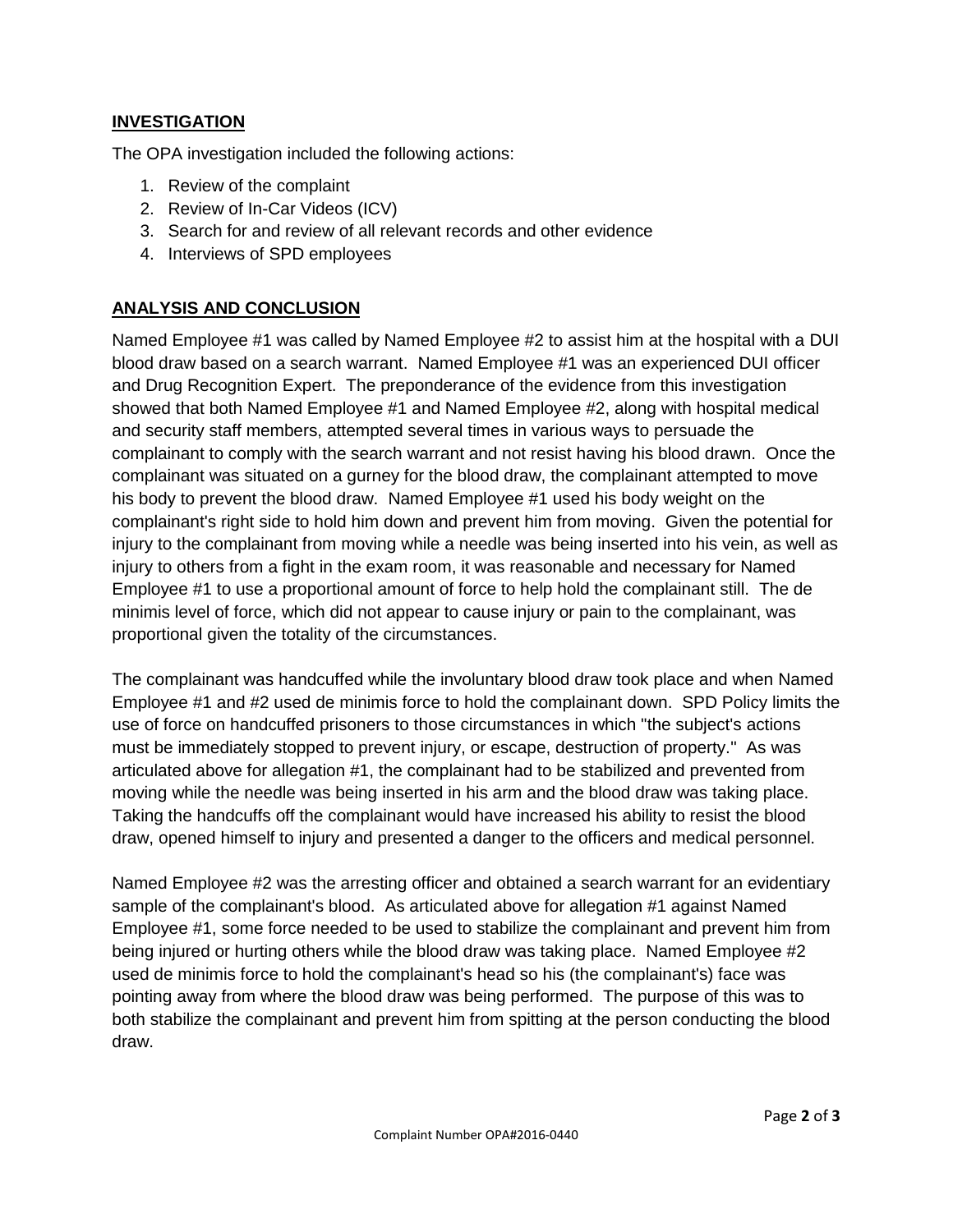## **INVESTIGATION**

The OPA investigation included the following actions:

- 1. Review of the complaint
- 2. Review of In-Car Videos (ICV)
- 3. Search for and review of all relevant records and other evidence
- 4. Interviews of SPD employees

## **ANALYSIS AND CONCLUSION**

Named Employee #1 was called by Named Employee #2 to assist him at the hospital with a DUI blood draw based on a search warrant. Named Employee #1 was an experienced DUI officer and Drug Recognition Expert. The preponderance of the evidence from this investigation showed that both Named Employee #1 and Named Employee #2, along with hospital medical and security staff members, attempted several times in various ways to persuade the complainant to comply with the search warrant and not resist having his blood drawn. Once the complainant was situated on a gurney for the blood draw, the complainant attempted to move his body to prevent the blood draw. Named Employee #1 used his body weight on the complainant's right side to hold him down and prevent him from moving. Given the potential for injury to the complainant from moving while a needle was being inserted into his vein, as well as injury to others from a fight in the exam room, it was reasonable and necessary for Named Employee #1 to use a proportional amount of force to help hold the complainant still. The de minimis level of force, which did not appear to cause injury or pain to the complainant, was proportional given the totality of the circumstances.

The complainant was handcuffed while the involuntary blood draw took place and when Named Employee #1 and #2 used de minimis force to hold the complainant down. SPD Policy limits the use of force on handcuffed prisoners to those circumstances in which "the subject's actions must be immediately stopped to prevent injury, or escape, destruction of property." As was articulated above for allegation #1, the complainant had to be stabilized and prevented from moving while the needle was being inserted in his arm and the blood draw was taking place. Taking the handcuffs off the complainant would have increased his ability to resist the blood draw, opened himself to injury and presented a danger to the officers and medical personnel.

Named Employee #2 was the arresting officer and obtained a search warrant for an evidentiary sample of the complainant's blood. As articulated above for allegation #1 against Named Employee #1, some force needed to be used to stabilize the complainant and prevent him from being injured or hurting others while the blood draw was taking place. Named Employee #2 used de minimis force to hold the complainant's head so his (the complainant's) face was pointing away from where the blood draw was being performed. The purpose of this was to both stabilize the complainant and prevent him from spitting at the person conducting the blood draw.